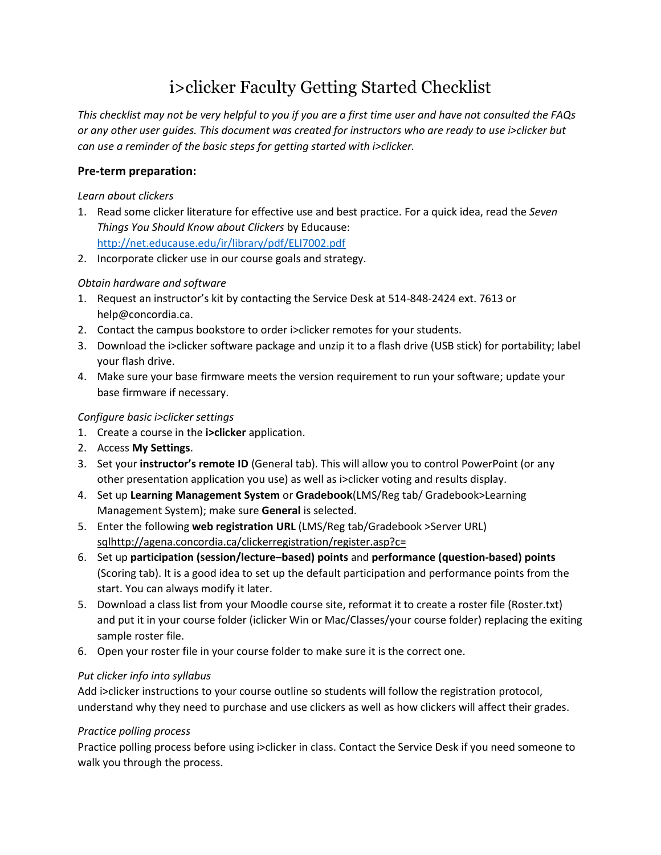# i>clicker Faculty Getting Started Checklist

*This checklist may not be very helpful to you if you are a first time user and have not consulted the FAQs or any other user guides. This document was created for instructors who are ready to use i>clicker but can use a reminder of the basic steps for getting started with i>clicker.*

## **Pre-term preparation:**

#### *Learn about clickers*

- 1. Read some clicker literature for effective use and best practice. For a quick idea, read the *Seven Things You Should Know about Clickers* by Educause: <http://net.educause.edu/ir/library/pdf/ELI7002.pdf>
- 2. Incorporate clicker use in our course goals and strategy.

### *Obtain hardware and software*

- 1. Request an instructor's kit by contacting the Service Desk at 514-848-2424 ext. 7613 or help@concordia.ca.
- 2. Contact the campus bookstore to order i>clicker remotes for your students.
- 3. Download the i>clicker software package and unzip it to a flash drive (USB stick) for portability; label your flash drive.
- 4. Make sure your base firmware meets the version requirement to run your software; update your base firmware if necessary.

#### *Configure basic i>clicker settings*

- 1. Create a course in the **i>clicker** application.
- 2. Access **My Settings**.
- 3. Set your **instructor's remote ID** (General tab). This will allow you to control PowerPoint (or any other presentation application you use) as well as i>clicker voting and results display.
- 4. Set up **Learning Management System** or **Gradebook**(LMS/Reg tab/ Gradebook>Learning Management System); make sure **General** is selected.
- 5. Enter the following **web registration URL** (LMS/Reg tab/Gradebook >Server URL) [sqlhttp://agena.concordia.ca/clickerregistration/register.asp?c=](http://agena.concordia.ca/clickerregistration/register.asp?c)
- 6. Set up **participation (session/lecture–based) points** and **performance (question-based) points** (Scoring tab). It is a good idea to set up the default participation and performance points from the start. You can always modify it later.
- 5. Download a class list from your Moodle course site, reformat it to create a roster file (Roster.txt) and put it in your course folder (iclicker Win or Mac/Classes/your course folder) replacing the exiting sample roster file.
- 6. Open your roster file in your course folder to make sure it is the correct one.

### *Put clicker info into syllabus*

Add i>clicker instructions to your course outline so students will follow the registration protocol, understand why they need to purchase and use clickers as well as how clickers will affect their grades.

### *Practice polling process*

Practice polling process before using i>clicker in class. Contact the Service Desk if you need someone to walk you through the process.